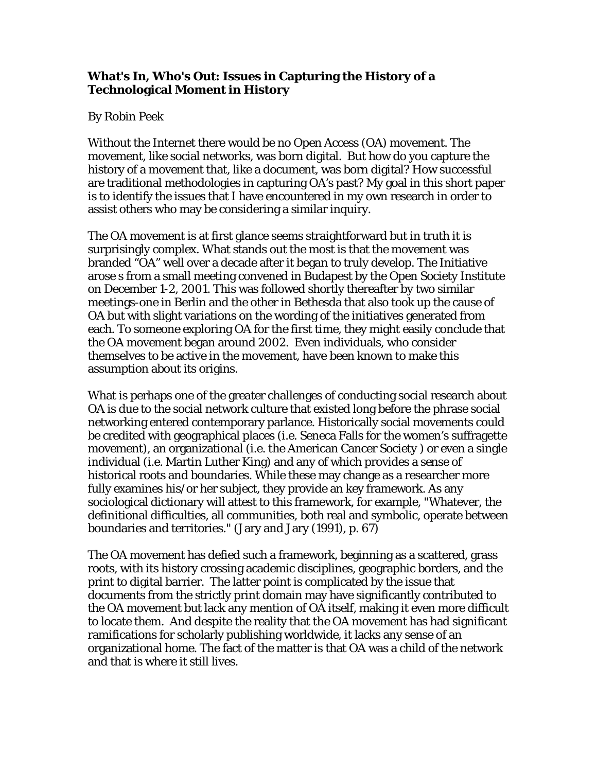## **What's In, Who's Out: Issues in Capturing the History of a Technological Moment in History**

## By Robin Peek

Without the Internet there would be no Open Access (OA) movement. The movement, like social networks, was born digital. But how do you capture the history of a movement that, like a document, was born digital? How successful are traditional methodologies in capturing OA's past? My goal in this short paper is to identify the issues that I have encountered in my own research in order to assist others who may be considering a similar inquiry.

The OA movement is at first glance seems straightforward but in truth it is surprisingly complex. What stands out the most is that the movement was branded "OA" well over a decade after it began to truly develop. The Initiative arose s from a small meeting convened in Budapest by the Open Society Institute on December 1-2, 2001. This was followed shortly thereafter by two similar meetings-one in Berlin and the other in Bethesda that also took up the cause of OA but with slight variations on the wording of the initiatives generated from each. To someone exploring OA for the first time, they might easily conclude that the OA movement began around 2002. Even individuals, who consider themselves to be active in the movement, have been known to make this assumption about its origins.

What is perhaps one of the greater challenges of conducting social research about OA is due to the social network culture that existed long before the phrase social networking entered contemporary parlance. Historically social movements could be credited with geographical places (i.e. Seneca Falls for the women's suffragette movement), an organizational (i.e. the American Cancer Society ) or even a single individual (i.e. Martin Luther King) and any of which provides a sense of historical roots and boundaries. While these may change as a researcher more fully examines his/or her subject, they provide an key framework. As any sociological dictionary will attest to this framework, for example, "Whatever, the definitional difficulties, all communities, both real and symbolic, operate between boundaries and territories." (Jary and Jary (1991), p. 67)

The OA movement has defied such a framework, beginning as a scattered, grass roots, with its history crossing academic disciplines, geographic borders, and the print to digital barrier. The latter point is complicated by the issue that documents from the strictly print domain may have significantly contributed to the OA movement but lack any mention of OA itself, making it even more difficult to locate them. And despite the reality that the OA movement has had significant ramifications for scholarly publishing worldwide, it lacks any sense of an organizational home. The fact of the matter is that OA was a child of the network and that is where it still lives.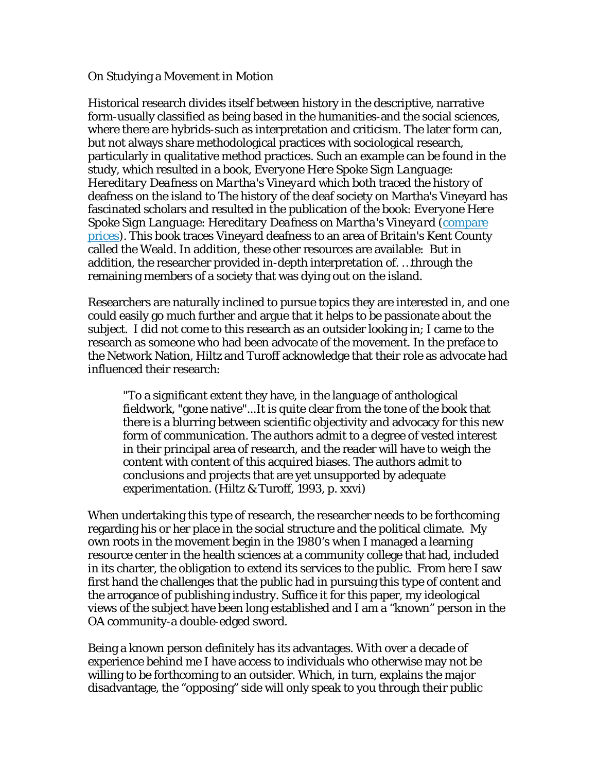On Studying a Movement in Motion

Historical research divides itself between history in the descriptive, narrative form-usually classified as being based in the humanities-and the social sciences, where there are hybrids-such as interpretation and criticism. The later form can, but not always share methodological practices with sociological research, particularly in qualitative method practices. Such an example can be found in the study, which resulted in a book, *Everyone Here Spoke Sign Language*: *Hereditary Deafness on Martha's Vineyard* which both traced the history of deafness on the island to The history of the deaf society on Martha's Vineyard has fascinated scholars and resulted in the publication of the book: *Everyone Here Spoke Sign Language*: *Hereditary Deafness on Martha's Vineyard* (compare prices). This book traces Vineyard deafness to an area of Britain's Kent County called the Weald. In addition, these other resources are available: But in addition, the researcher provided in-depth interpretation of. …through the remaining members of a society that was dying out on the island.

Researchers are naturally inclined to pursue topics they are interested in, and one could easily go much further and argue that it helps to be passionate about the subject. I did not come to this research as an outsider looking in; I came to the research as someone who had been advocate of the movement. In the preface to the Network Nation, Hiltz and Turoff acknowledge that their role as advocate had influenced their research:

"To a significant extent they have, in the language of anthological fieldwork, "gone native"...It is quite clear from the tone of the book that there is a blurring between scientific objectivity and advocacy for this new form of communication. The authors admit to a degree of vested interest in their principal area of research, and the reader will have to weigh the content with content of this acquired biases. The authors admit to conclusions and projects that are yet unsupported by adequate experimentation. (Hiltz & Turoff, 1993, p. xxvi)

When undertaking this type of research, the researcher needs to be forthcoming regarding his or her place in the social structure and the political climate. My own roots in the movement begin in the 1980's when I managed a learning resource center in the health sciences at a community college that had, included in its charter, the obligation to extend its services to the public. From here I saw first hand the challenges that the public had in pursuing this type of content and the arrogance of publishing industry. Suffice it for this paper, my ideological views of the subject have been long established and I am a "known" person in the OA community-a double-edged sword.

Being a known person definitely has its advantages. With over a decade of experience behind me I have access to individuals who otherwise may not be willing to be forthcoming to an outsider. Which, in turn, explains the major disadvantage, the "opposing" side will only speak to you through their public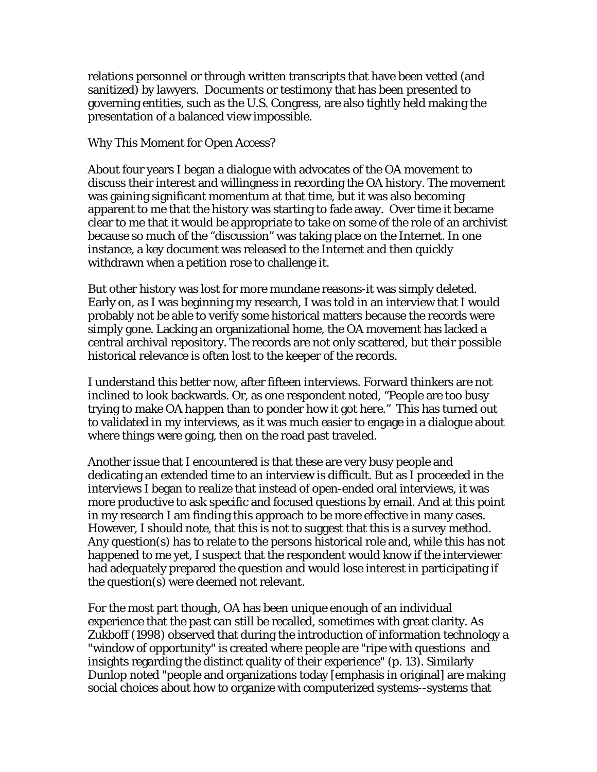relations personnel or through written transcripts that have been vetted (and sanitized) by lawyers. Documents or testimony that has been presented to governing entities, such as the U.S. Congress, are also tightly held making the presentation of a balanced view impossible.

Why This Moment for Open Access?

About four years I began a dialogue with advocates of the OA movement to discuss their interest and willingness in recording the OA history. The movement was gaining significant momentum at that time, but it was also becoming apparent to me that the history was starting to fade away. Over time it became clear to me that it would be appropriate to take on some of the role of an archivist because so much of the "discussion" was taking place on the Internet. In one instance, a key document was released to the Internet and then quickly withdrawn when a petition rose to challenge it.

But other history was lost for more mundane reasons-it was simply deleted. Early on, as I was beginning my research, I was told in an interview that I would probably not be able to verify some historical matters because the records were simply gone. Lacking an organizational home, the OA movement has lacked a central archival repository. The records are not only scattered, but their possible historical relevance is often lost to the keeper of the records.

I understand this better now, after fifteen interviews. Forward thinkers are not inclined to look backwards. Or, as one respondent noted, "People are too busy trying to make OA happen than to ponder how it got here." This has turned out to validated in my interviews, as it was much easier to engage in a dialogue about where things were going, then on the road past traveled.

Another issue that I encountered is that these are very busy people and dedicating an extended time to an interview is difficult. But as I proceeded in the interviews I began to realize that instead of open-ended oral interviews, it was more productive to ask specific and focused questions by email. And at this point in my research I am finding this approach to be more effective in many cases. However, I should note, that this is not to suggest that this is a survey method. Any question(s) has to relate to the persons historical role and, while this has not happened to me yet, I suspect that the respondent would know if the interviewer had adequately prepared the question and would lose interest in participating if the question(s) were deemed not relevant.

For the most part though, OA has been unique enough of an individual experience that the past can still be recalled, sometimes with great clarity. As Zukboff (1998) observed that during the introduction of information technology a "window of opportunity" is created where people are "ripe with questions and insights regarding the distinct quality of their experience" (p. 13). Similarly Dunlop noted "people and organizations today [emphasis in original] are making social choices about how to organize with computerized systems--systems that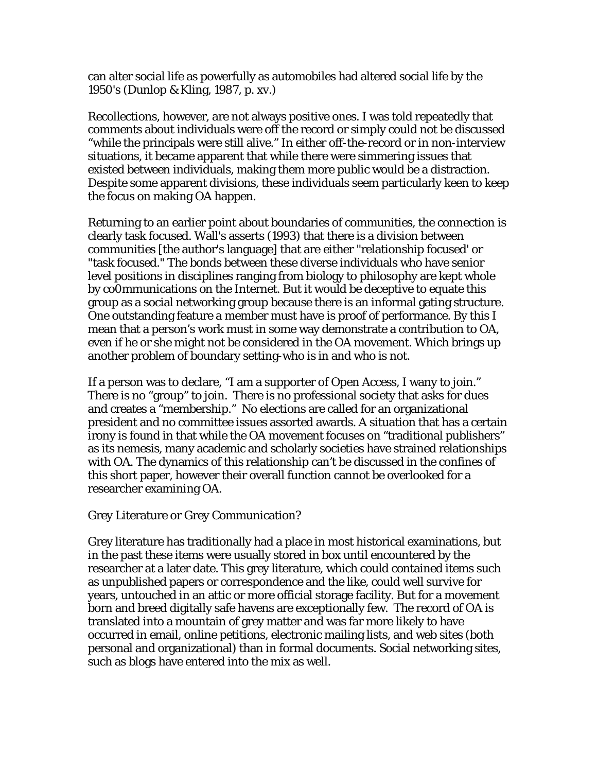can alter social life as powerfully as automobiles had altered social life by the 1950's (Dunlop & Kling, 1987, p. xv.)

Recollections, however, are not always positive ones. I was told repeatedly that comments about individuals were off the record or simply could not be discussed "while the principals were still alive." In either off-the-record or in non-interview situations, it became apparent that while there were simmering issues that existed between individuals, making them more public would be a distraction. Despite some apparent divisions, these individuals seem particularly keen to keep the focus on making OA happen.

Returning to an earlier point about boundaries of communities, the connection is clearly task focused. Wall's asserts (1993) that there is a division between communities [the author's language] that are either "relationship focused' or "task focused." The bonds between these diverse individuals who have senior level positions in disciplines ranging from biology to philosophy are kept whole by co0mmunications on the Internet. But it would be deceptive to equate this group as a social networking group because there is an informal gating structure. One outstanding feature a member must have is proof of performance. By this I mean that a person's work must in some way demonstrate a contribution to OA, even if he or she might not be considered in the OA movement. Which brings up another problem of boundary setting-who is in and who is not.

If a person was to declare, "I am a supporter of Open Access, I wany to join." There is no "group" to join. There is no professional society that asks for dues and creates a "membership." No elections are called for an organizational president and no committee issues assorted awards. A situation that has a certain irony is found in that while the OA movement focuses on "traditional publishers" as its nemesis, many academic and scholarly societies have strained relationships with OA. The dynamics of this relationship can't be discussed in the confines of this short paper, however their overall function cannot be overlooked for a researcher examining OA.

Grey Literature or Grey Communication?

Grey literature has traditionally had a place in most historical examinations, but in the past these items were usually stored in box until encountered by the researcher at a later date. This grey literature, which could contained items such as unpublished papers or correspondence and the like, could well survive for years, untouched in an attic or more official storage facility. But for a movement born and breed digitally safe havens are exceptionally few. The record of OA is translated into a mountain of grey matter and was far more likely to have occurred in email, online petitions, electronic mailing lists, and web sites (both personal and organizational) than in formal documents. Social networking sites, such as blogs have entered into the mix as well.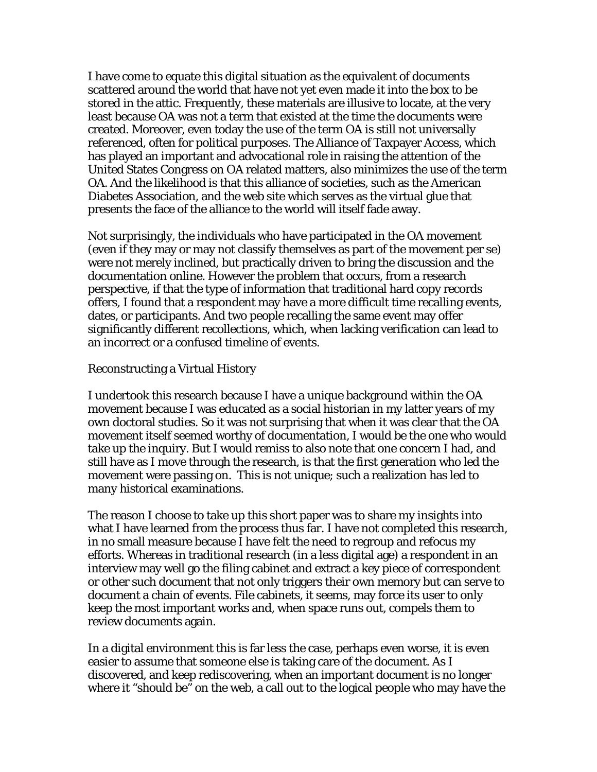I have come to equate this digital situation as the equivalent of documents scattered around the world that have not yet even made it into the box to be stored in the attic. Frequently, these materials are illusive to locate, at the very least because OA was not a term that existed at the time the documents were created. Moreover, even today the use of the term OA is still not universally referenced, often for political purposes. The Alliance of Taxpayer Access, which has played an important and advocational role in raising the attention of the United States Congress on OA related matters, also minimizes the use of the term OA. And the likelihood is that this alliance of societies, such as the American Diabetes Association, and the web site which serves as the virtual glue that presents the face of the alliance to the world will itself fade away.

Not surprisingly, the individuals who have participated in the OA movement (even if they may or may not classify themselves as part of the movement per se) were not merely inclined, but practically driven to bring the discussion and the documentation online. However the problem that occurs, from a research perspective, if that the type of information that traditional hard copy records offers, I found that a respondent may have a more difficult time recalling events, dates, or participants. And two people recalling the same event may offer significantly different recollections, which, when lacking verification can lead to an incorrect or a confused timeline of events.

## Reconstructing a Virtual History

I undertook this research because I have a unique background within the OA movement because I was educated as a social historian in my latter years of my own doctoral studies. So it was not surprising that when it was clear that the OA movement itself seemed worthy of documentation, I would be the one who would take up the inquiry. But I would remiss to also note that one concern I had, and still have as I move through the research, is that the first generation who led the movement were passing on. This is not unique; such a realization has led to many historical examinations.

The reason I choose to take up this short paper was to share my insights into what I have learned from the process thus far. I have not completed this research, in no small measure because I have felt the need to regroup and refocus my efforts. Whereas in traditional research (in a less digital age) a respondent in an interview may well go the filing cabinet and extract a key piece of correspondent or other such document that not only triggers their own memory but can serve to document a chain of events. File cabinets, it seems, may force its user to only keep the most important works and, when space runs out, compels them to review documents again.

In a digital environment this is far less the case, perhaps even worse, it is even easier to assume that someone else is taking care of the document. As I discovered, and keep rediscovering, when an important document is no longer where it "should be" on the web, a call out to the logical people who may have the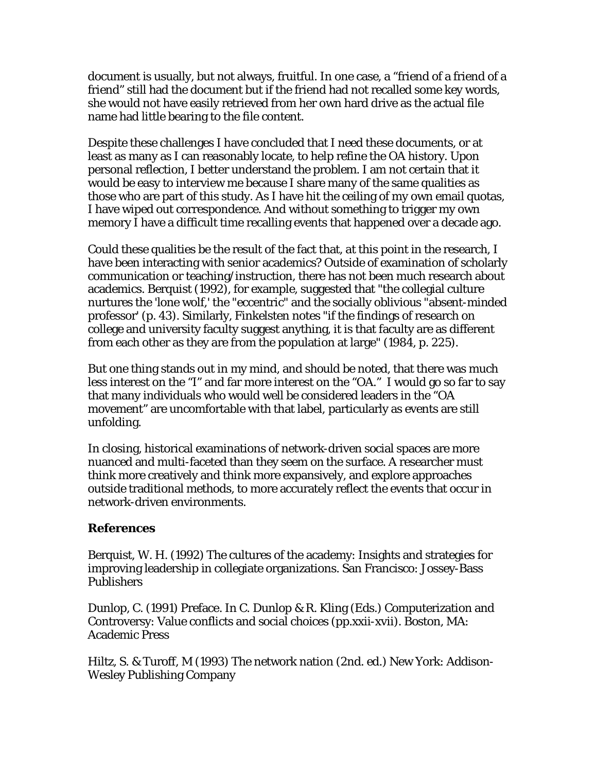document is usually, but not always, fruitful. In one case, a "friend of a friend of a friend" still had the document but if the friend had not recalled some key words, she would not have easily retrieved from her own hard drive as the actual file name had little bearing to the file content.

Despite these challenges I have concluded that I need these documents, or at least as many as I can reasonably locate, to help refine the OA history. Upon personal reflection, I better understand the problem. I am not certain that it would be easy to interview me because I share many of the same qualities as those who are part of this study. As I have hit the ceiling of my own email quotas, I have wiped out correspondence. And without something to trigger my own memory I have a difficult time recalling events that happened over a decade ago.

Could these qualities be the result of the fact that, at this point in the research, I have been interacting with senior academics? Outside of examination of scholarly communication or teaching/instruction, there has not been much research about academics. Berquist (1992), for example, suggested that "the collegial culture nurtures the 'lone wolf,' the "eccentric" and the socially oblivious "absent-minded professor' (p. 43). Similarly, Finkelsten notes "if the findings of research on college and university faculty suggest anything, it is that faculty are as different from each other as they are from the population at large" (1984, p. 225).

But one thing stands out in my mind, and should be noted, that there was much less interest on the "I" and far more interest on the "OA." I would go so far to say that many individuals who would well be considered leaders in the "OA movement" are uncomfortable with that label, particularly as events are still unfolding.

In closing, historical examinations of network-driven social spaces are more nuanced and multi-faceted than they seem on the surface. A researcher must think more creatively and think more expansively, and explore approaches outside traditional methods, to more accurately reflect the events that occur in network-driven environments.

## **References**

Berquist, W. H. (1992) The cultures of the academy: Insights and strategies for improving leadership in collegiate organizations. San Francisco: Jossey-Bass Publishers

Dunlop, C. (1991) Preface. In C. Dunlop & R. Kling (Eds.) Computerization and Controversy: Value conflicts and social choices (pp.xxii-xvii). Boston, MA: Academic Press

Hiltz, S. & Turoff, M (1993) The network nation (2nd. ed.) New York: Addison-Wesley Publishing Company